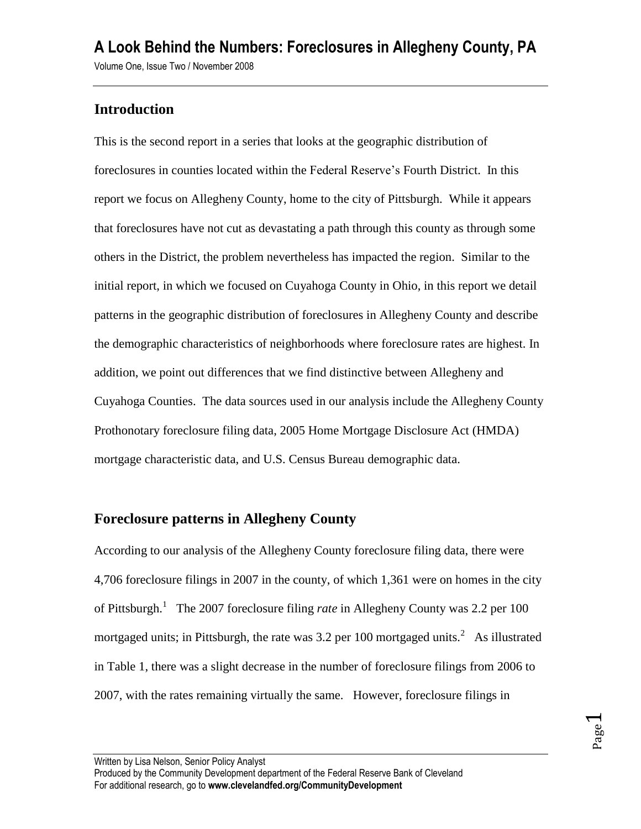### **Introduction**

This is the second report in a series that looks at the geographic distribution of foreclosures in counties located within the Federal Reserve's Fourth District. In this report we focus on Allegheny County, home to the city of Pittsburgh. While it appears that foreclosures have not cut as devastating a path through this county as through some others in the District, the problem nevertheless has impacted the region. Similar to the initial report, in which we focused on Cuyahoga County in Ohio, in this report we detail patterns in the geographic distribution of foreclosures in Allegheny County and describe the demographic characteristics of neighborhoods where foreclosure rates are highest. In addition, we point out differences that we find distinctive between Allegheny and Cuyahoga Counties. The data sources used in our analysis include the Allegheny County Prothonotary foreclosure filing data, 2005 Home Mortgage Disclosure Act (HMDA) mortgage characteristic data, and U.S. Census Bureau demographic data.

### **Foreclosure patterns in Allegheny County**

According to our analysis of the Allegheny County foreclosure filing data, there were 4,706 foreclosure filings in 2007 in the county, of which 1,361 were on homes in the city of Pittsburgh.<sup>1</sup> The 2007 foreclosure filing *rate* in Allegheny County was 2.2 per 100 mortgaged units; in Pittsburgh, the rate was 3.2 per 100 mortgaged units.<sup>2</sup> As illustrated in Table 1, there was a slight decrease in the number of foreclosure filings from 2006 to 2007, with the rates remaining virtually the same. However, foreclosure filings in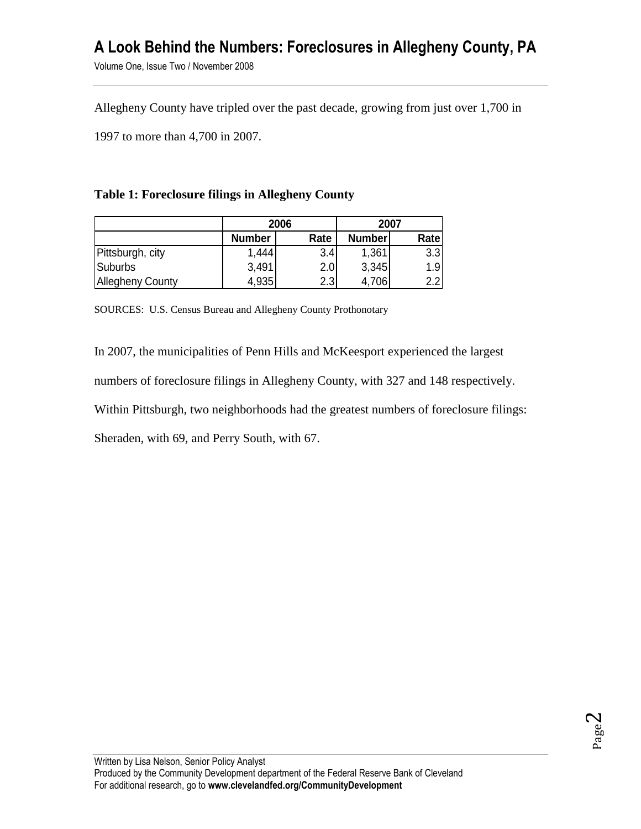Volume One, Issue Two / November 2008

Allegheny County have tripled over the past decade, growing from just over 1,700 in

1997 to more than 4,700 in 2007.

#### **Table 1: Foreclosure filings in Allegheny County**

|                         | 2006          |      | 2007          |        |
|-------------------------|---------------|------|---------------|--------|
|                         | <b>Number</b> | Rate | <b>Number</b> | Ratel  |
| Pittsburgh, city        | 1,444         | 3.4  | 1,361         | 3.3    |
| Suburbs                 | 3,491         | 2.0I | 3,345         | 1.91   |
| <b>Allegheny County</b> | 4,935         | 2.3  | 4,706         | וכי כי |

SOURCES: U.S. Census Bureau and Allegheny County Prothonotary

In 2007, the municipalities of Penn Hills and McKeesport experienced the largest numbers of foreclosure filings in Allegheny County, with 327 and 148 respectively. Within Pittsburgh, two neighborhoods had the greatest numbers of foreclosure filings: Sheraden, with 69, and Perry South, with 67.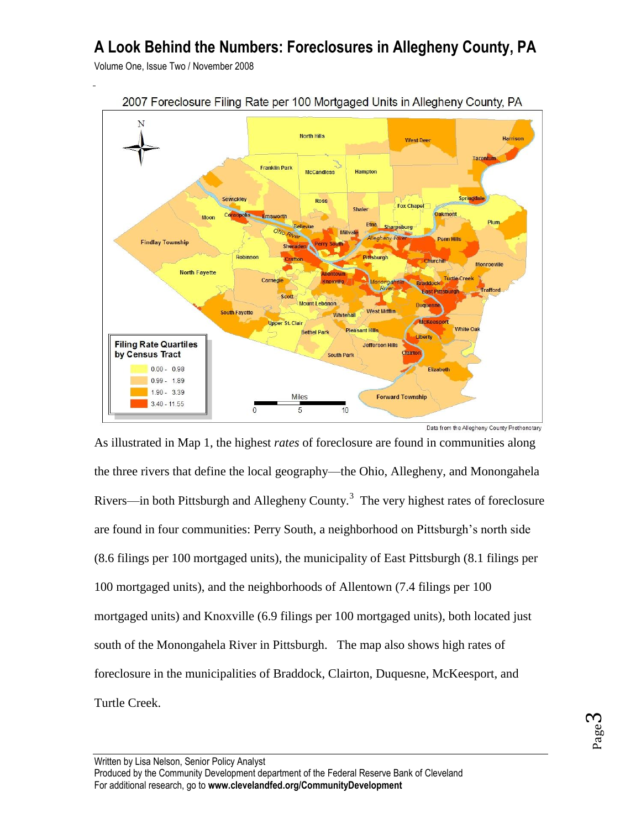Volume One, Issue Two / November 2008



2007 Foreclosure Filing Rate per 100 Mortgaged Units in Allegheny County, PA

As illustrated in Map 1, the highest *rates* of foreclosure are found in communities along the three rivers that define the local geography—the Ohio, Allegheny, and Monongahela Rivers—in both Pittsburgh and Allegheny County.<sup>3</sup> The very highest rates of foreclosure are found in four communities: Perry South, a neighborhood on Pittsburgh's north side (8.6 filings per 100 mortgaged units), the municipality of East Pittsburgh (8.1 filings per 100 mortgaged units), and the neighborhoods of Allentown (7.4 filings per 100 mortgaged units) and Knoxville (6.9 filings per 100 mortgaged units), both located just south of the Monongahela River in Pittsburgh. The map also shows high rates of foreclosure in the municipalities of Braddock, Clairton, Duquesne, McKeesport, and Turtle Creek.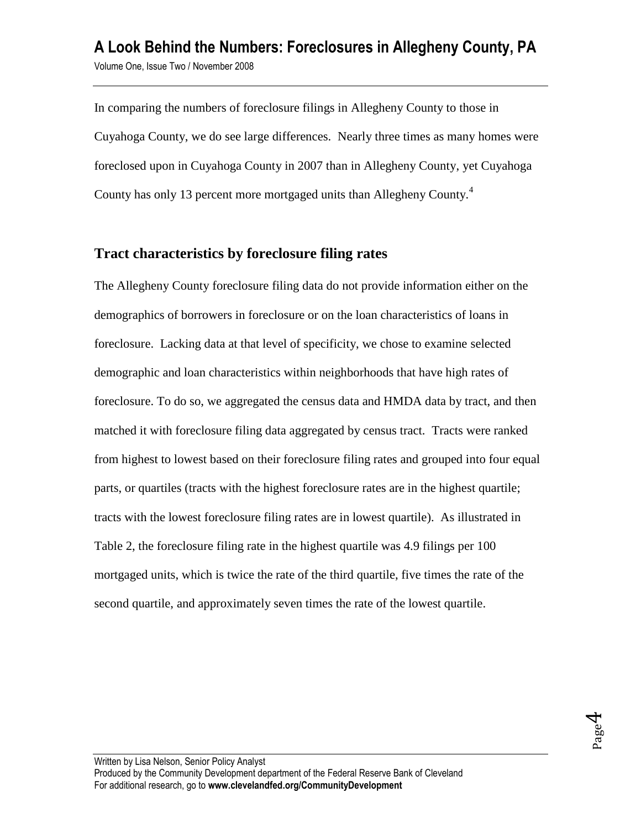In comparing the numbers of foreclosure filings in Allegheny County to those in Cuyahoga County, we do see large differences. Nearly three times as many homes were foreclosed upon in Cuyahoga County in 2007 than in Allegheny County, yet Cuyahoga County has only 13 percent more mortgaged units than Allegheny County.<sup>4</sup>

### **Tract characteristics by foreclosure filing rates**

The Allegheny County foreclosure filing data do not provide information either on the demographics of borrowers in foreclosure or on the loan characteristics of loans in foreclosure. Lacking data at that level of specificity, we chose to examine selected demographic and loan characteristics within neighborhoods that have high rates of foreclosure. To do so, we aggregated the census data and HMDA data by tract, and then matched it with foreclosure filing data aggregated by census tract. Tracts were ranked from highest to lowest based on their foreclosure filing rates and grouped into four equal parts, or quartiles (tracts with the highest foreclosure rates are in the highest quartile; tracts with the lowest foreclosure filing rates are in lowest quartile). As illustrated in Table 2, the foreclosure filing rate in the highest quartile was 4.9 filings per 100 mortgaged units, which is twice the rate of the third quartile, five times the rate of the second quartile, and approximately seven times the rate of the lowest quartile.

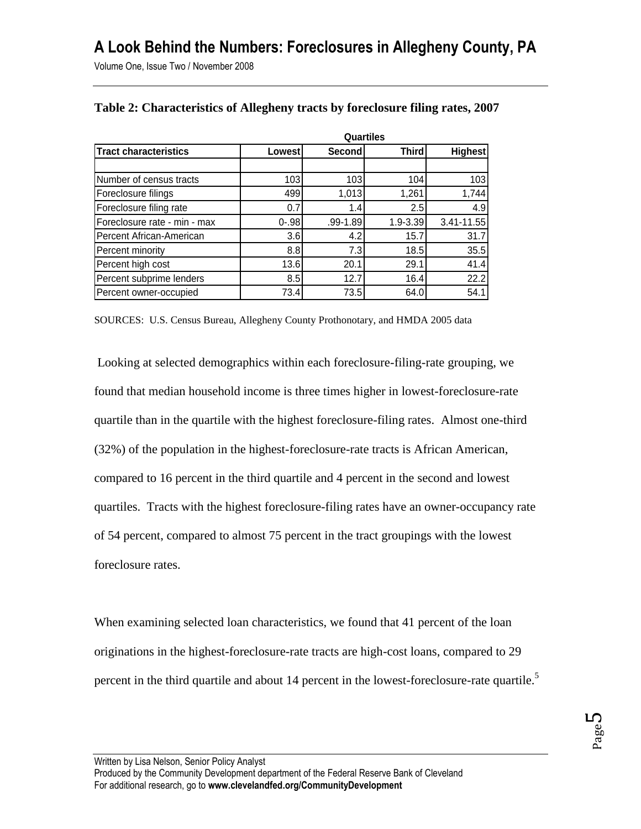Volume One, Issue Two / November 2008

|                              | <b>Quartiles</b> |              |              |                |  |
|------------------------------|------------------|--------------|--------------|----------------|--|
| <b>Tract characteristics</b> | Lowest           | Second       | <b>Third</b> | <b>Highest</b> |  |
|                              |                  |              |              |                |  |
| Number of census tracts      | 103 <sub>l</sub> | 103          | 104          | 103            |  |
| Foreclosure filings          | 499              | 1,013        | 1,261        | 1,744          |  |
| Foreclosure filing rate      | 0.7              | 1.4          | 2.5          | 4.9            |  |
| Foreclosure rate - min - max | $0 - .98$        | $.99 - 1.89$ | $1.9 - 3.39$ | 3.41-11.55     |  |
| Percent African-American     | 3.6              | 4.2          | 15.7         | 31.7           |  |
| Percent minority             | 8.8              | 7.3          | 18.5         | 35.5           |  |
| Percent high cost            | 13.6             | 20.1         | 29.1         | 41.4           |  |
| Percent subprime lenders     | 8.5              | 12.7         | 16.4         | 22.2           |  |
| Percent owner-occupied       | 73.4             | 73.5         | 64.0         | 54.1           |  |

#### **Table 2: Characteristics of Allegheny tracts by foreclosure filing rates, 2007**

SOURCES: U.S. Census Bureau, Allegheny County Prothonotary, and HMDA 2005 data

Looking at selected demographics within each foreclosure-filing-rate grouping, we found that median household income is three times higher in lowest-foreclosure-rate quartile than in the quartile with the highest foreclosure-filing rates. Almost one-third (32%) of the population in the highest-foreclosure-rate tracts is African American, compared to 16 percent in the third quartile and 4 percent in the second and lowest quartiles. Tracts with the highest foreclosure-filing rates have an owner-occupancy rate of 54 percent, compared to almost 75 percent in the tract groupings with the lowest foreclosure rates.

When examining selected loan characteristics, we found that 41 percent of the loan originations in the highest-foreclosure-rate tracts are high-cost loans, compared to 29 percent in the third quartile and about 14 percent in the lowest-foreclosure-rate quartile.<sup>5</sup>

Written by Lisa Nelson, Senior Policy Analyst Produced by the Community Development department of the Federal Reserve Bank of Cleveland For additional research, go to **www.clevelandfed.org/CommunityDevelopment**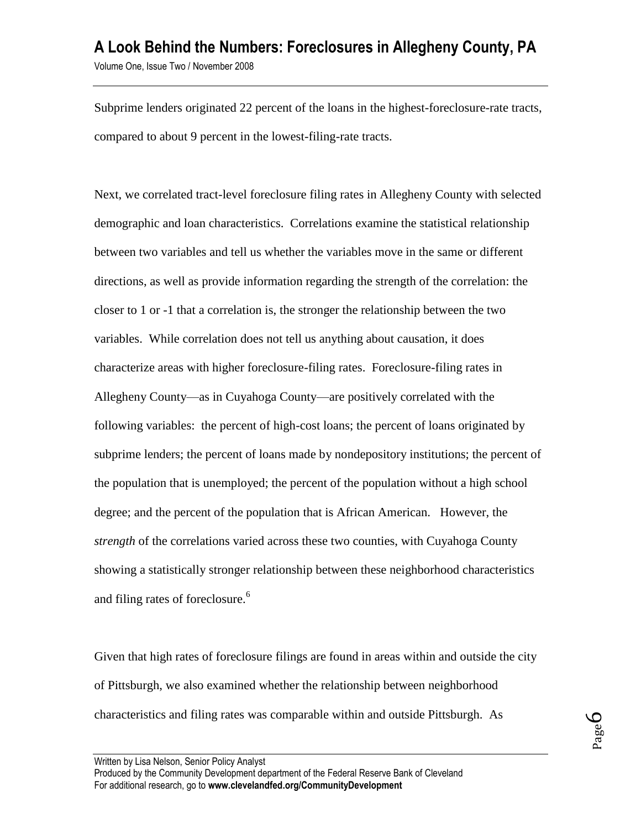Subprime lenders originated 22 percent of the loans in the highest-foreclosure-rate tracts, compared to about 9 percent in the lowest-filing-rate tracts.

Next, we correlated tract-level foreclosure filing rates in Allegheny County with selected demographic and loan characteristics. Correlations examine the statistical relationship between two variables and tell us whether the variables move in the same or different directions, as well as provide information regarding the strength of the correlation: the closer to 1 or -1 that a correlation is, the stronger the relationship between the two variables. While correlation does not tell us anything about causation, it does characterize areas with higher foreclosure-filing rates. Foreclosure-filing rates in Allegheny County—as in Cuyahoga County—are positively correlated with the following variables: the percent of high-cost loans; the percent of loans originated by subprime lenders; the percent of loans made by nondepository institutions; the percent of the population that is unemployed; the percent of the population without a high school degree; and the percent of the population that is African American. However, the *strength* of the correlations varied across these two counties, with Cuyahoga County showing a statistically stronger relationship between these neighborhood characteristics and filing rates of foreclosure. 6

Given that high rates of foreclosure filings are found in areas within and outside the city of Pittsburgh, we also examined whether the relationship between neighborhood characteristics and filing rates was comparable within and outside Pittsburgh. As

Page 6

Produced by the Community Development department of the Federal Reserve Bank of Cleveland For additional research, go to **www.clevelandfed.org/CommunityDevelopment**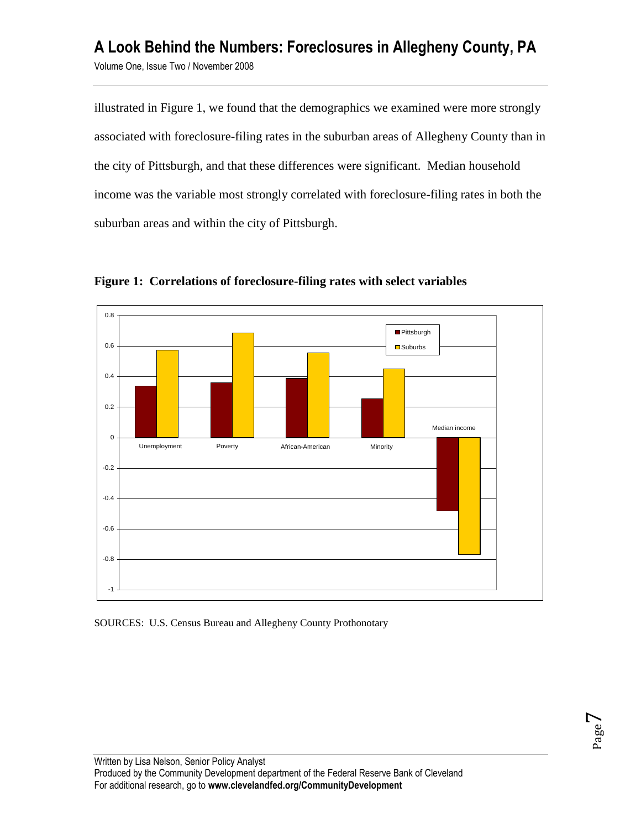## **A Look Behind the Numbers: Foreclosures in Allegheny County, PA** Volume One, Issue Two / November 2008

illustrated in Figure 1, we found that the demographics we examined were more strongly associated with foreclosure-filing rates in the suburban areas of Allegheny County than in the city of Pittsburgh, and that these differences were significant. Median household income was the variable most strongly correlated with foreclosure-filing rates in both the suburban areas and within the city of Pittsburgh.



**Figure 1: Correlations of foreclosure-filing rates with select variables** 

SOURCES: U.S. Census Bureau and Allegheny County Prothonotary

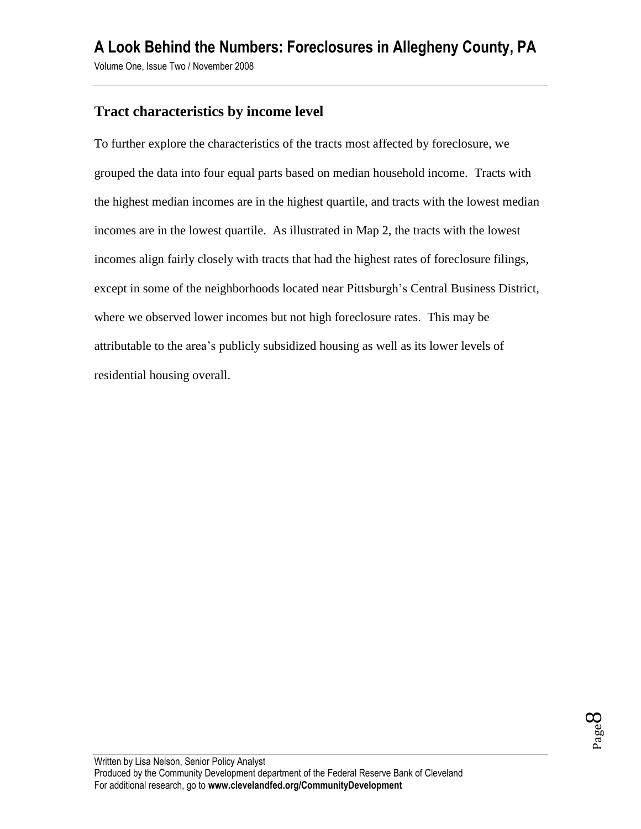Volume One, Issue Two / November 2008

## **Tract characteristics by income level**

To further explore the characteristics of the tracts most affected by foreclosure, we grouped the data into four equal parts based on median household income. Tracts with the highest median incomes are in the highest quartile, and tracts with the lowest median incomes are in the lowest quartile. As illustrated in Map 2, the tracts with the lowest incomes align fairly closely with tracts that had the highest rates of foreclosure filings, except in some of the neighborhoods located near Pittsburgh's Central Business District, where we observed lower incomes but not high foreclosure rates. This may be attributable to the area's publicly subsidized housing as well as its lower levels of residential housing overall.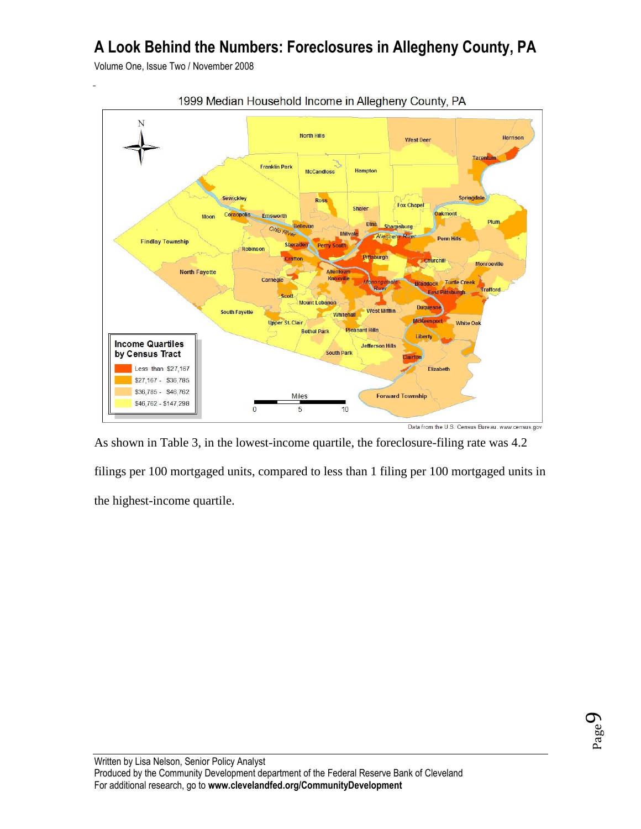Volume One, Issue Two / November 2008



1999 Median Household Income in Allegheny County, PA

As shown in Table 3, in the lowest-income quartile, the foreclosure-filing rate was 4.2 filings per 100 mortgaged units, compared to less than 1 filing per 100 mortgaged units in the highest-income quartile.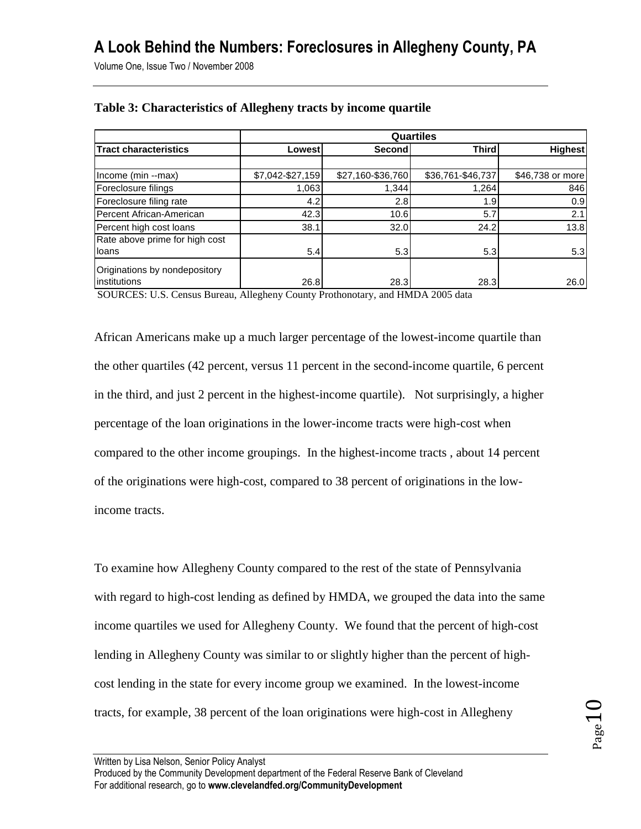Volume One, Issue Two / November 2008

|                                               | Quartiles        |                   |                   |                  |  |  |
|-----------------------------------------------|------------------|-------------------|-------------------|------------------|--|--|
| <b>Tract characteristics</b>                  | Lowestl          | Second!           | <b>Third</b>      | <b>Highest</b>   |  |  |
|                                               |                  |                   |                   |                  |  |  |
| Income (min --max)                            | \$7,042-\$27,159 | \$27,160-\$36,760 | \$36,761-\$46,737 | \$46,738 or more |  |  |
| Foreclosure filings                           | 1,063            | 1,344             | 1,264             | 846              |  |  |
| Foreclosure filing rate                       | 4.2              | 2.8               | 1.9               | 0.9              |  |  |
| Percent African-American                      | 42.3             | 10.6              | 5.7               | 2.1              |  |  |
| Percent high cost loans                       | 38.1             | 32.0              | 24.2              | 13.8             |  |  |
| Rate above prime for high cost                |                  |                   |                   |                  |  |  |
| loans                                         | 5.4              | 5.3               | 5.3               | 5.3              |  |  |
| Originations by nondepository<br>institutions | 26.8             | 28.3              | 28.3              | 26.0             |  |  |

#### **Table 3: Characteristics of Allegheny tracts by income quartile**

SOURCES: U.S. Census Bureau, Allegheny County Prothonotary, and HMDA 2005 data

African Americans make up a much larger percentage of the lowest-income quartile than the other quartiles (42 percent, versus 11 percent in the second-income quartile, 6 percent in the third, and just 2 percent in the highest-income quartile). Not surprisingly, a higher percentage of the loan originations in the lower-income tracts were high-cost when compared to the other income groupings. In the highest-income tracts , about 14 percent of the originations were high-cost, compared to 38 percent of originations in the lowincome tracts.

To examine how Allegheny County compared to the rest of the state of Pennsylvania with regard to high-cost lending as defined by HMDA, we grouped the data into the same income quartiles we used for Allegheny County. We found that the percent of high-cost lending in Allegheny County was similar to or slightly higher than the percent of highcost lending in the state for every income group we examined. In the lowest-income tracts, for example, 38 percent of the loan originations were high-cost in Allegheny

Produced by the Community Development department of the Federal Reserve Bank of Cleveland For additional research, go to **www.clevelandfed.org/CommunityDevelopment**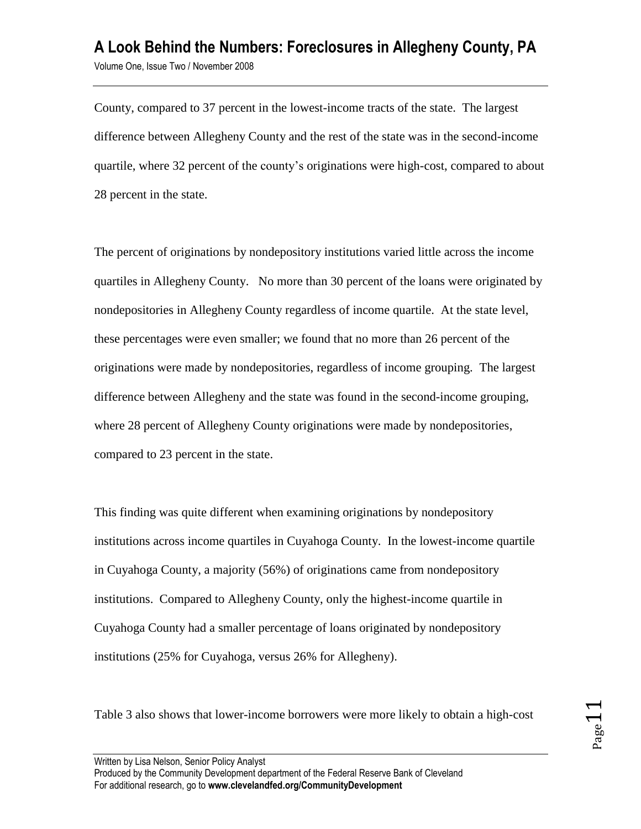County, compared to 37 percent in the lowest-income tracts of the state. The largest difference between Allegheny County and the rest of the state was in the second-income quartile, where 32 percent of the county's originations were high-cost, compared to about 28 percent in the state.

The percent of originations by nondepository institutions varied little across the income quartiles in Allegheny County. No more than 30 percent of the loans were originated by nondepositories in Allegheny County regardless of income quartile. At the state level, these percentages were even smaller; we found that no more than 26 percent of the originations were made by nondepositories, regardless of income grouping. The largest difference between Allegheny and the state was found in the second-income grouping, where 28 percent of Allegheny County originations were made by nondepositories, compared to 23 percent in the state.

This finding was quite different when examining originations by nondepository institutions across income quartiles in Cuyahoga County. In the lowest-income quartile in Cuyahoga County, a majority (56%) of originations came from nondepository institutions. Compared to Allegheny County, only the highest-income quartile in Cuyahoga County had a smaller percentage of loans originated by nondepository institutions (25% for Cuyahoga, versus 26% for Allegheny).

Table 3 also shows that lower-income borrowers were more likely to obtain a high-cost

Produced by the Community Development department of the Federal Reserve Bank of Cleveland For additional research, go to **www.clevelandfed.org/CommunityDevelopment**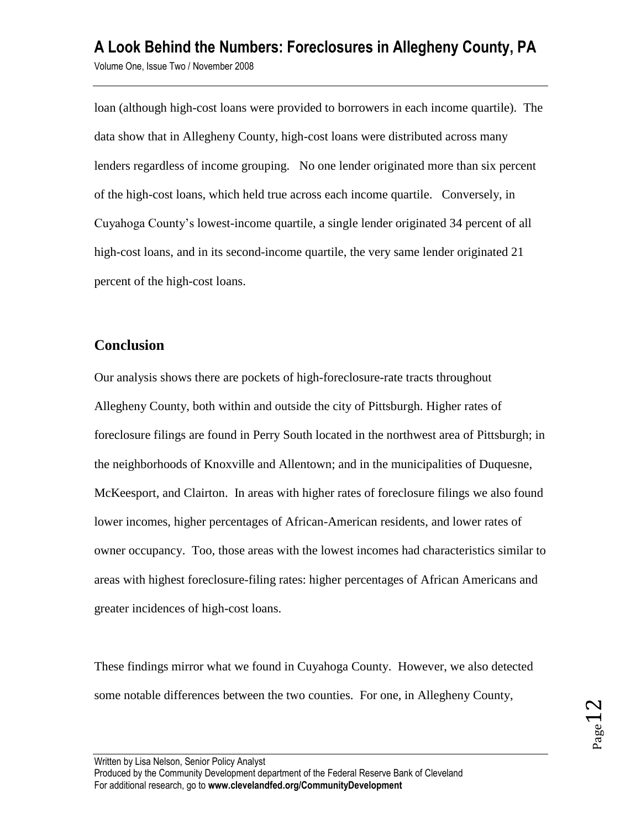loan (although high-cost loans were provided to borrowers in each income quartile). The data show that in Allegheny County, high-cost loans were distributed across many lenders regardless of income grouping. No one lender originated more than six percent of the high-cost loans, which held true across each income quartile. Conversely, in Cuyahoga County's lowest-income quartile, a single lender originated 34 percent of all high-cost loans, and in its second-income quartile, the very same lender originated 21 percent of the high-cost loans.

### **Conclusion**

Our analysis shows there are pockets of high-foreclosure-rate tracts throughout Allegheny County, both within and outside the city of Pittsburgh. Higher rates of foreclosure filings are found in Perry South located in the northwest area of Pittsburgh; in the neighborhoods of Knoxville and Allentown; and in the municipalities of Duquesne, McKeesport, and Clairton. In areas with higher rates of foreclosure filings we also found lower incomes, higher percentages of African-American residents, and lower rates of owner occupancy. Too, those areas with the lowest incomes had characteristics similar to areas with highest foreclosure-filing rates: higher percentages of African Americans and greater incidences of high-cost loans.

These findings mirror what we found in Cuyahoga County. However, we also detected some notable differences between the two counties. For one, in Allegheny County,

Written by Lisa Nelson, Senior Policy Analyst

Produced by the Community Development department of the Federal Reserve Bank of Cleveland For additional research, go to **www.clevelandfed.org/CommunityDevelopment**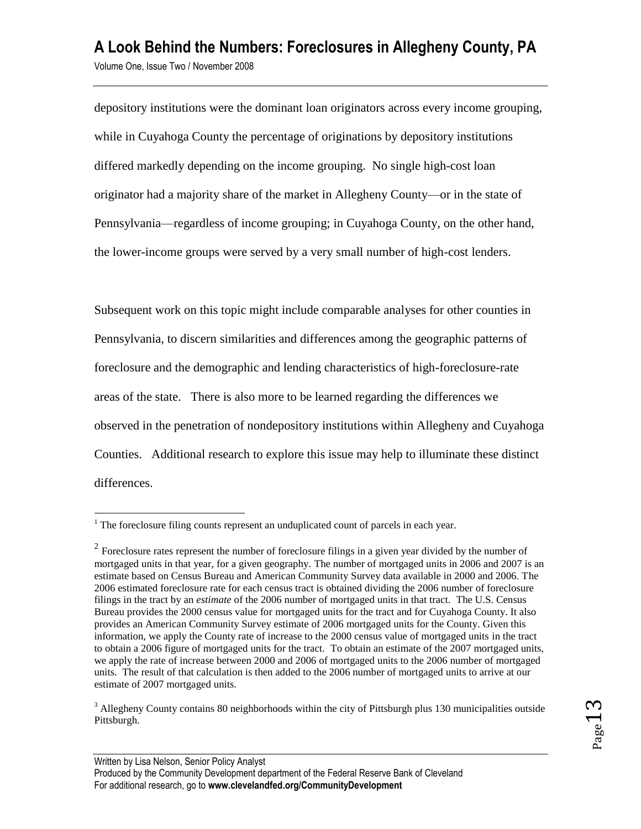depository institutions were the dominant loan originators across every income grouping, while in Cuyahoga County the percentage of originations by depository institutions differed markedly depending on the income grouping. No single high-cost loan originator had a majority share of the market in Allegheny County—or in the state of Pennsylvania—regardless of income grouping; in Cuyahoga County, on the other hand, the lower-income groups were served by a very small number of high-cost lenders.

Subsequent work on this topic might include comparable analyses for other counties in Pennsylvania, to discern similarities and differences among the geographic patterns of foreclosure and the demographic and lending characteristics of high-foreclosure-rate areas of the state. There is also more to be learned regarding the differences we observed in the penetration of nondepository institutions within Allegheny and Cuyahoga Counties. Additional research to explore this issue may help to illuminate these distinct differences.

 $\overline{a}$ 

 $1$ <sup>1</sup> The foreclosure filing counts represent an unduplicated count of parcels in each year.

<sup>&</sup>lt;sup>2</sup> Foreclosure rates represent the number of foreclosure filings in a given year divided by the number of mortgaged units in that year, for a given geography. The number of mortgaged units in 2006 and 2007 is an estimate based on Census Bureau and American Community Survey data available in 2000 and 2006. The 2006 estimated foreclosure rate for each census tract is obtained dividing the 2006 number of foreclosure filings in the tract by an *estimate* of the 2006 number of mortgaged units in that tract. The U.S. Census Bureau provides the 2000 census value for mortgaged units for the tract and for Cuyahoga County. It also provides an American Community Survey estimate of 2006 mortgaged units for the County. Given this information, we apply the County rate of increase to the 2000 census value of mortgaged units in the tract to obtain a 2006 figure of mortgaged units for the tract. To obtain an estimate of the 2007 mortgaged units, we apply the rate of increase between 2000 and 2006 of mortgaged units to the 2006 number of mortgaged units. The result of that calculation is then added to the 2006 number of mortgaged units to arrive at our estimate of 2007 mortgaged units.

<sup>&</sup>lt;sup>3</sup> Allegheny County contains 80 neighborhoods within the city of Pittsburgh plus 130 municipalities outside Pittsburgh.